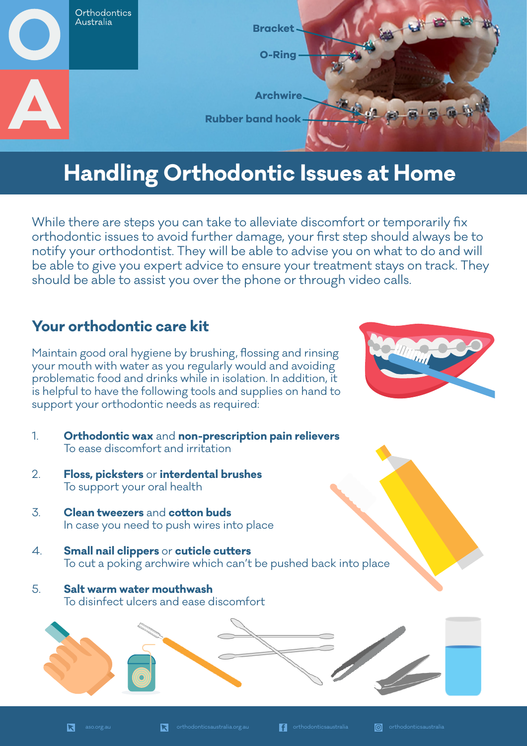

# **Handling Orthodontic Issues at Home**

While there are steps you can take to alleviate discomfort or temporarily fix orthodontic issues to avoid further damage, your first step should always be to notify your orthodontist. They will be able to advise you on what to do and will be able to give you expert advice to ensure your treatment stays on track. They should be able to assist you over the phone or through video calls.

### **Your orthodontic care kit**

Maintain good oral hygiene by brushing, flossing and rinsing your mouth with water as you regularly would and avoiding problematic food and drinks while in isolation. In addition, it is helpful to have the following tools and supplies on hand to support your orthodontic needs as required:

- 1. **Orthodontic wax** and **non-prescription pain relievers** To ease discomfort and irritation
- 2. **Floss, picksters** or **interdental brushes** To support your oral health
- 3. **Clean tweezers** and **cotton buds** In case you need to push wires into place
- 4. **Small nail clippers** or **cuticle cutters** To cut a poking archwire which can't be pushed back into place
- 5. **Salt warm water mouthwash** To disinfect ulcers and ease discomfort



**ITALIAN**